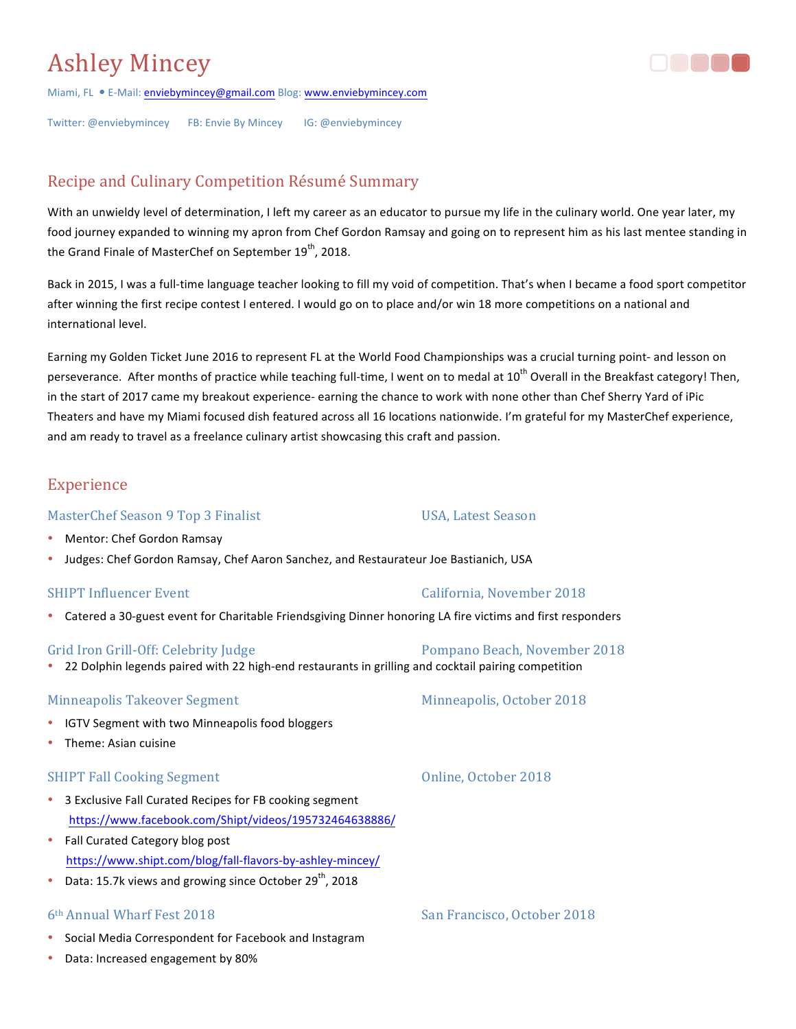# **Ashley Mincey**



Miami, FL . E-Mail: enviebymincey@gmail.com Blog: www.enviebymincey.com

Twitter: @enviebymincey FB: Envie By Mincey IG: @enviebymincey

# Recipe and Culinary Competition Résumé Summary

With an unwieldy level of determination, I left my career as an educator to pursue my life in the culinary world. One year later, my food journey expanded to winning my apron from Chef Gordon Ramsay and going on to represent him as his last mentee standing in the Grand Finale of MasterChef on September  $19<sup>th</sup>$ , 2018.

Back in 2015, I was a full-time language teacher looking to fill my void of competition. That's when I became a food sport competitor after winning the first recipe contest I entered. I would go on to place and/or win 18 more competitions on a national and international level.

Earning my Golden Ticket June 2016 to represent FL at the World Food Championships was a crucial turning point- and lesson on perseverance. After months of practice while teaching full-time, I went on to medal at 10<sup>th</sup> Overall in the Breakfast category! Then, in the start of 2017 came my breakout experience- earning the chance to work with none other than Chef Sherry Yard of iPic Theaters and have my Miami focused dish featured across all 16 locations nationwide. I'm grateful for my MasterChef experience, and am ready to travel as a freelance culinary artist showcasing this craft and passion.

## Experience

#### MasterChef Season 9 Top 3 Finalist Charlotten Controller USA, Latest Season

- Mentor: Chef Gordon Ramsay
- Judges: Chef Gordon Ramsay, Chef Aaron Sanchez, and Restaurateur Joe Bastianich, USA

• Catered a 30-guest event for Charitable Friendsgiving Dinner honoring LA fire victims and first responders

#### Grid Iron Grill-Off: Celebrity Judge **Properties Access** Pompano Beach, November 2018

• 22 Dolphin legends paired with 22 high-end restaurants in grilling and cocktail pairing competition

#### Minneapolis Takeover Segment **Minneapolis**, October 2018

- **IGTV Segment with two Minneapolis food bloggers**
- Theme: Asian cuisine

#### SHIPT Fall Cooking Segment **Cooking** Segment **Cooking** Segment **Online**, October 2018

- 3 Exclusive Fall Curated Recipes for FB cooking segment https://www.facebook.com/Shipt/videos/195732464638886/
- Fall Curated Category blog post https://www.shipt.com/blog/fall-flavors-by-ashley-mincey/
- Data: 15.7k views and growing since October 29<sup>th</sup>, 2018

### 6th Annual Wharf Fest 2018 **San Francisco, October 2018** San Francisco, October 2018

- Social Media Correspondent for Facebook and Instagram
- Data: Increased engagement by 80%

#### SHIPT Influencer Event **California**, November 2018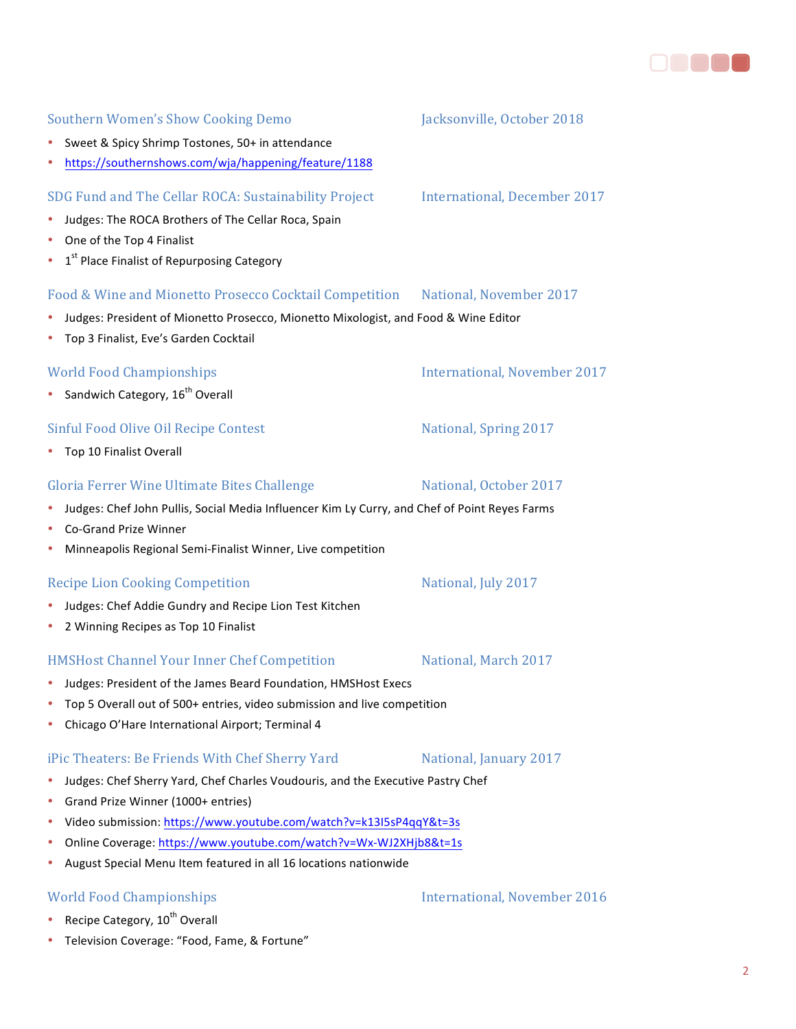# • Sweet & Spicy Shrimp Tostones, 50+ in attendance

• https://southernshows.com/wja/happening/feature/1188

### SDG Fund and The Cellar ROCA: Sustainability Project International, December 2017

- Judges: The ROCA Brothers of The Cellar Roca, Spain
- One of the Top 4 Finalist
- $1<sup>st</sup>$  Place Finalist of Repurposing Category

#### Food & Wine and Mionetto Prosecco Cocktail Competition National, November 2017

- Judges: President of Mionetto Prosecco, Mionetto Mixologist, and Food & Wine Editor
- Top 3 Finalist, Eve's Garden Cocktail

#### World Food Championships **International**, November 2017

• Sandwich Category,  $16^{th}$  Overall

#### Sinful Food Olive Oil Recipe Contest National, Spring 2017

• Top 10 Finalist Overall

### Gloria Ferrer Wine Ultimate Bites Challenge Mational, October 2017

#### • Judges: Chef John Pullis, Social Media Influencer Kim Ly Curry, and Chef of Point Reyes Farms

- Co-Grand Prize Winner
- Minneapolis Regional Semi-Finalist Winner, Live competition

#### Recipe Lion Cooking Competition **National**, July 2017

- Judges: Chef Addie Gundry and Recipe Lion Test Kitchen
- 2 Winning Recipes as Top 10 Finalist

#### HMSHost Channel Your Inner Chef Competition National, March 2017

- Judges: President of the James Beard Foundation, HMSHost Execs
- Top 5 Overall out of 500+ entries, video submission and live competition
- Chicago O'Hare International Airport; Terminal 4

#### iPic Theaters: Be Friends With Chef Sherry Yard National, January 2017

- Judges: Chef Sherry Yard, Chef Charles Voudouris, and the Executive Pastry Chef
- Grand Prize Winner (1000+ entries)
- Video submission: https://www.youtube.com/watch?v=k13I5sP4qqY&t=3s
- Online Coverage: https://www.youtube.com/watch?v=Wx-WJ2XHjb8&t=1s
- August Special Menu Item featured in all 16 locations nationwide

### World Food Championships The Championships Enternational, November 2016

- Recipe Category,  $10^{th}$  Overall
- Television Coverage: "Food, Fame, & Fortune"

## Southern Women's Show Cooking Demo Jacksonville, October 2018

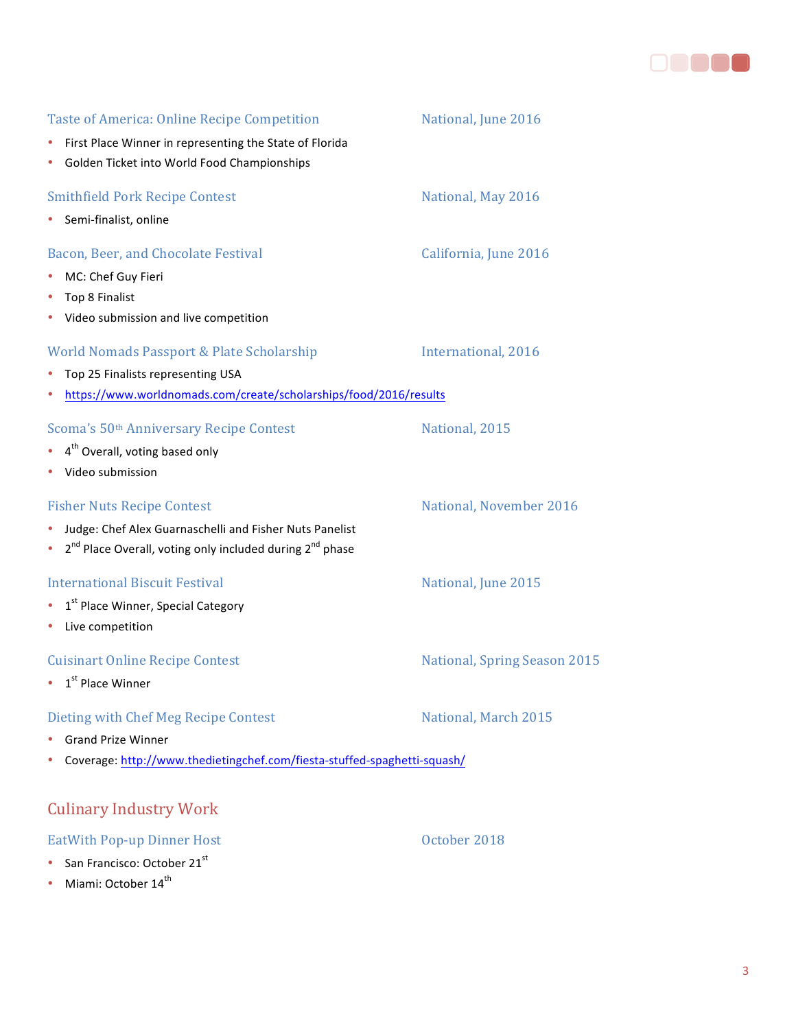

| <b>Taste of America: Online Recipe Competition</b><br>First Place Winner in representing the State of Florida<br>٠<br>Golden Ticket into World Food Championships<br>٠                             | National, June 2016                 |
|----------------------------------------------------------------------------------------------------------------------------------------------------------------------------------------------------|-------------------------------------|
| <b>Smithfield Pork Recipe Contest</b><br>Semi-finalist, online                                                                                                                                     | National, May 2016                  |
| Bacon, Beer, and Chocolate Festival<br>MC: Chef Guy Fieri<br>٠<br>Top 8 Finalist<br>٠<br>• Video submission and live competition                                                                   | California, June 2016               |
| World Nomads Passport & Plate Scholarship<br>Top 25 Finalists representing USA<br>٠<br>https://www.worldnomads.com/create/scholarships/food/2016/results<br>٠                                      | International, 2016                 |
| Scoma's 50 <sup>th</sup> Anniversary Recipe Contest<br>4 <sup>th</sup> Overall, voting based only<br>• Video submission                                                                            | National, 2015                      |
| <b>Fisher Nuts Recipe Contest</b><br>Judge: Chef Alex Guarnaschelli and Fisher Nuts Panelist<br>٠<br>2 <sup>nd</sup> Place Overall, voting only included during 2 <sup>nd</sup> phase<br>$\bullet$ | National, November 2016             |
| <b>International Biscuit Festival</b><br>1 <sup>st</sup> Place Winner, Special Category<br>$\bullet$<br>Live competition<br>٠                                                                      | National, June 2015                 |
| <b>Cuisinart Online Recipe Contest</b><br>$\bullet$ 1 <sup>st</sup> Place Winner                                                                                                                   | <b>National, Spring Season 2015</b> |
| Dieting with Chef Meg Recipe Contest<br><b>Grand Prize Winner</b><br>Coverage: http://www.thedietingchef.com/fiesta-stuffed-spaghetti-squash/                                                      | National, March 2015                |
| <b>Culinary Industry Work</b>                                                                                                                                                                      |                                     |
| <b>EatWith Pop-up Dinner Host</b><br>San Francisco: October 21st<br>$\bullet$                                                                                                                      | October 2018                        |

• Miami: October  $14^{th}$